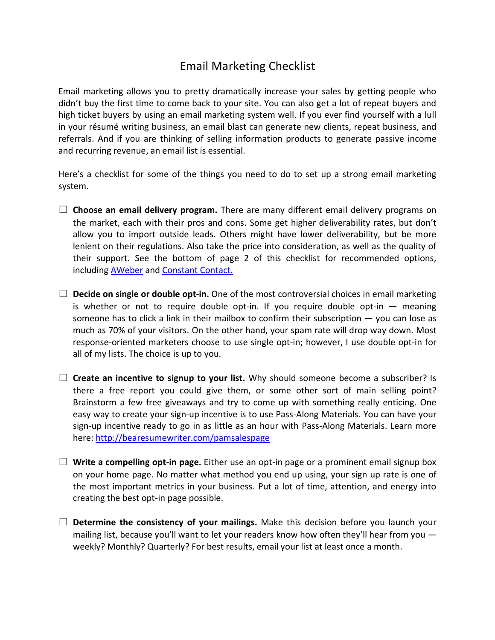## Email Marketing Checklist

Email marketing allows you to pretty dramatically increase your sales by getting people who didn't buy the first time to come back to your site. You can also get a lot of repeat buyers and high ticket buyers by using an email marketing system well. If you ever find yourself with a lull in your résumé writing business, an email blast can generate new clients, repeat business, and referrals. And if you are thinking of selling information products to generate passive income and recurring revenue, an email list is essential.

Here's a checklist for some of the things you need to do to set up a strong email marketing system.

- $\Box$  **Choose an email delivery program.** There are many different email delivery programs on the market, each with their pros and cons. Some get higher deliverability rates, but don't allow you to import outside leads. Others might have lower deliverability, but be more lenient on their regulations. Also take the price into consideration, as well as the quality of their support. See the bottom of page 2 of this checklist for recommended options, including **AWeber** and **Constant Contact.**
- $\Box$  **Decide on single or double opt-in.** One of the most controversial choices in email marketing is whether or not to require double opt-in. If you require double opt-in  $-$  meaning someone has to click a link in their mailbox to confirm their subscription — you can lose as much as 70% of your visitors. On the other hand, your spam rate will drop way down. Most response-oriented marketers choose to use single opt-in; however, I use double opt-in for all of my lists. The choice is up to you.
- □ **Create an incentive to signup to your list.** Why should someone become a subscriber? Is there a free report you could give them, or some other sort of main selling point? Brainstorm a few free giveaways and try to come up with something really enticing. One easy way to create your sign-up incentive is to use Pass-Along Materials. You can have your sign-up incentive ready to go in as little as an hour with Pass-Along Materials. Learn more here: http://bearesumewriter.com/pamsalespage
- $\Box$  **Write a compelling opt-in page.** Either use an opt-in page or a prominent email signup box on your home page. No matter what method you end up using, your sign up rate is one of the most important metrics in your business. Put a lot of time, attention, and energy into creating the best opt-in page possible.
- $\Box$  **Determine the consistency of your mailings.** Make this decision before you launch your mailing list, because you'll want to let your readers know how often they'll hear from you  $$ weekly? Monthly? Quarterly? For best results, email your list at least once a month.